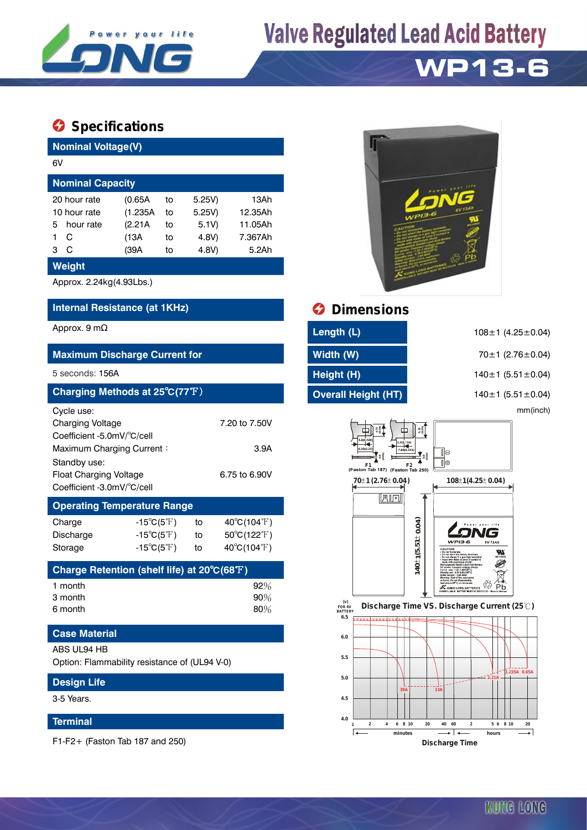

# **Valve Regulated Lead Acid Battery**

# **WP13-6**

## **Specifications**

| <b>Nominal Voltage(V)</b>                                                                                                 |                                                                                        |                            |                                            |                                                                           |  |  |  |  |
|---------------------------------------------------------------------------------------------------------------------------|----------------------------------------------------------------------------------------|----------------------------|--------------------------------------------|---------------------------------------------------------------------------|--|--|--|--|
| 6V                                                                                                                        |                                                                                        |                            |                                            |                                                                           |  |  |  |  |
| <b>Nominal Capacity</b>                                                                                                   |                                                                                        |                            |                                            |                                                                           |  |  |  |  |
| 20 hour rate<br>10 hour rate<br>hour rate<br>5<br>C<br>1<br>$\mathsf C$<br>3<br><b>Weight</b>                             | (0.65A)<br>(1.235A<br>(2.21A)<br>(13A<br>(39A)                                         | t٥<br>to<br>to<br>to<br>to | 5.25V)<br>5.25V<br>5.1V)<br>4.8V)<br>4.8V) | 13Ah<br>12.35Ah<br>11.05Ah<br>7.367Ah<br>5.2Ah                            |  |  |  |  |
| Approx. 2.24kg(4.93Lbs.)                                                                                                  |                                                                                        |                            |                                            |                                                                           |  |  |  |  |
| Internal Resistance (at 1KHz)                                                                                             |                                                                                        |                            |                                            |                                                                           |  |  |  |  |
| Approx. 9 $m\Omega$                                                                                                       |                                                                                        |                            |                                            |                                                                           |  |  |  |  |
| <b>Maximum Discharge Current for</b>                                                                                      |                                                                                        |                            |                                            |                                                                           |  |  |  |  |
| 5 seconds: 156A                                                                                                           |                                                                                        |                            |                                            |                                                                           |  |  |  |  |
| Charging Methods at 25°C(77°F)                                                                                            |                                                                                        |                            |                                            |                                                                           |  |  |  |  |
| Cycle use:<br><b>Charging Voltage</b><br>7.20 to 7.50V<br>Coefficient -5.0mV/°C/cell<br>3.9A<br>Maximum Charging Current: |                                                                                        |                            |                                            |                                                                           |  |  |  |  |
| Standby use:<br><b>Float Charging Voltage</b><br>6.75 to 6.90V<br>Coefficient -3.0mV/°C/cell                              |                                                                                        |                            |                                            |                                                                           |  |  |  |  |
| <b>Operating Temperature Range</b>                                                                                        |                                                                                        |                            |                                            |                                                                           |  |  |  |  |
| Charge<br>Discharge<br>Storage                                                                                            | $-15^{\circ}C(5^{\circ}F)$<br>$-15^{\circ}C(5^{\circ}F)$<br>$-15^{\circ}C(5^{\circ}F)$ |                            | to<br>to<br>to                             | $40^{\circ}C(104^{\circ}F)$<br>50°C(122°F)<br>$40^{\circ}C(104^{\circ}F)$ |  |  |  |  |

| Charge Retention (shelf life) at $20^{\circ}C(68^{\circ}F)$ |        |
|-------------------------------------------------------------|--------|
| 1 month                                                     | $92\%$ |
| 3 month                                                     | 90%    |
| 6 month                                                     | 80%    |

### **Case Material**

#### ABS UL94 HB

Option: Flammability resistance of (UL94 V-0)

| <b>Design Life</b> |  |
|--------------------|--|
| 3-5 Years.         |  |

### **Terminal**

F1-F2+ (Faston Tab 187 and 250)



## *<u>Dimensions</u>*

| ength (L).                 |  |
|----------------------------|--|
| Vidth (W)                  |  |
| leight (H)                 |  |
| <b>Dverall Height (HT)</b> |  |

**4.0**

Ŀ

108±1 (4.25±0.04)

**Maximum Discharge Current for Width (W)** 70±1 (2.76±0.04)

5 seconds: 156A **Height (H)** 140±1 (5.51±0.04)

**Charging Methods at 25**℃**(77**℉) **Overall Height (HT)** 140±1 (5.51±0.04)

mm(inch)



**1 2 4 6 8 10 20 40 60 2 5 6 8 10 20**

**minutes hours Discharge Time**

IJ